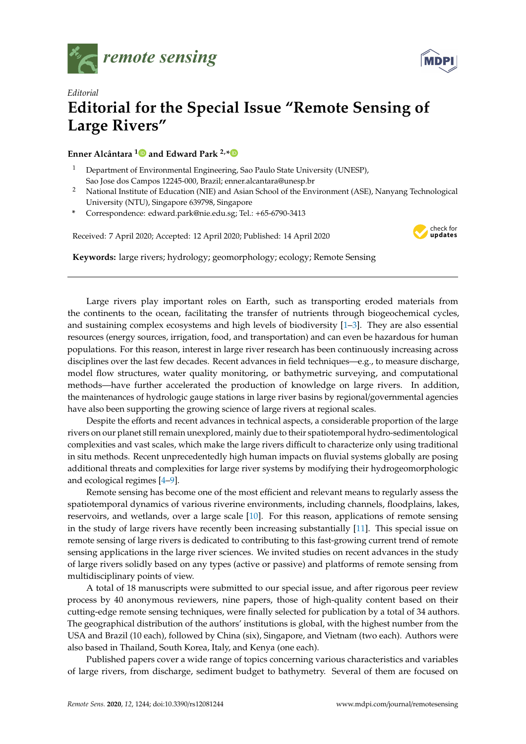



## *Editorial* **Editorial for the Special Issue "Remote Sensing of Large Rivers"**

**Enner Alcântara [1](https://orcid.org/0000-0002-7777-2119) and Edward Park 2,[\\*](https://orcid.org/0000-0002-1299-1724)**

- <sup>1</sup> Department of Environmental Engineering, Sao Paulo State University (UNESP), Sao Jose dos Campos 12245-000, Brazil; enner.alcantara@unesp.br
- <sup>2</sup> National Institute of Education (NIE) and Asian School of the Environment (ASE), Nanyang Technological University (NTU), Singapore 639798, Singapore
- **\*** Correspondence: edward.park@nie.edu.sg; Tel.: +65-6790-3413

Received: 7 April 2020; Accepted: 12 April 2020; Published: 14 April 2020



**Keywords:** large rivers; hydrology; geomorphology; ecology; Remote Sensing

Large rivers play important roles on Earth, such as transporting eroded materials from the continents to the ocean, facilitating the transfer of nutrients through biogeochemical cycles, and sustaining complex ecosystems and high levels of biodiversity [\[1–](#page-2-0)[3\]](#page-2-1). They are also essential resources (energy sources, irrigation, food, and transportation) and can even be hazardous for human populations. For this reason, interest in large river research has been continuously increasing across disciplines over the last few decades. Recent advances in field techniques—e.g., to measure discharge, model flow structures, water quality monitoring, or bathymetric surveying, and computational methods—have further accelerated the production of knowledge on large rivers. In addition, the maintenances of hydrologic gauge stations in large river basins by regional/governmental agencies have also been supporting the growing science of large rivers at regional scales.

Despite the efforts and recent advances in technical aspects, a considerable proportion of the large rivers on our planet still remain unexplored, mainly due to their spatiotemporal hydro-sedimentological complexities and vast scales, which make the large rivers difficult to characterize only using traditional in situ methods. Recent unprecedentedly high human impacts on fluvial systems globally are posing additional threats and complexities for large river systems by modifying their hydrogeomorphologic and ecological regimes [\[4–](#page-2-2)[9\]](#page-2-3).

Remote sensing has become one of the most efficient and relevant means to regularly assess the spatiotemporal dynamics of various riverine environments, including channels, floodplains, lakes, reservoirs, and wetlands, over a large scale [\[10\]](#page-3-0). For this reason, applications of remote sensing in the study of large rivers have recently been increasing substantially [\[11\]](#page-3-1). This special issue on remote sensing of large rivers is dedicated to contributing to this fast-growing current trend of remote sensing applications in the large river sciences. We invited studies on recent advances in the study of large rivers solidly based on any types (active or passive) and platforms of remote sensing from multidisciplinary points of view.

A total of 18 manuscripts were submitted to our special issue, and after rigorous peer review process by 40 anonymous reviewers, nine papers, those of high-quality content based on their cutting-edge remote sensing techniques, were finally selected for publication by a total of 34 authors. The geographical distribution of the authors' institutions is global, with the highest number from the USA and Brazil (10 each), followed by China (six), Singapore, and Vietnam (two each). Authors were also based in Thailand, South Korea, Italy, and Kenya (one each).

Published papers cover a wide range of topics concerning various characteristics and variables of large rivers, from discharge, sediment budget to bathymetry. Several of them are focused on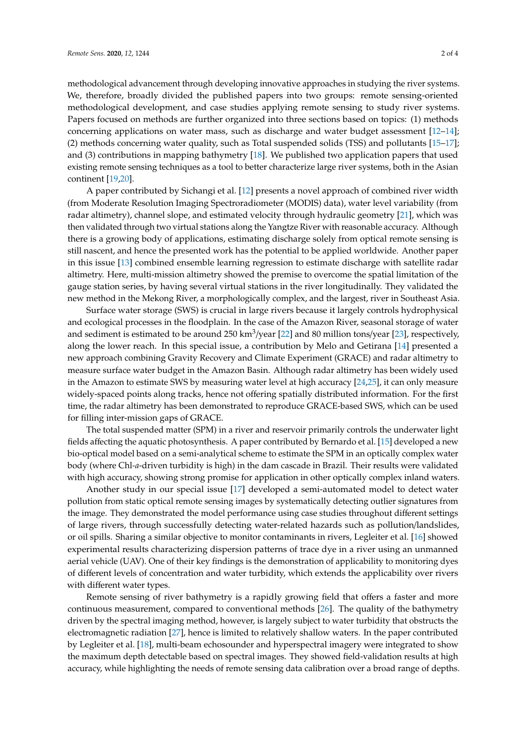methodological advancement through developing innovative approaches in studying the river systems. We, therefore, broadly divided the published papers into two groups: remote sensing-oriented methodological development, and case studies applying remote sensing to study river systems. Papers focused on methods are further organized into three sections based on topics: (1) methods concerning applications on water mass, such as discharge and water budget assessment [\[12](#page-3-2)[–14\]](#page-3-3); (2) methods concerning water quality, such as Total suspended solids (TSS) and pollutants [\[15](#page-3-4)[–17\]](#page-3-5); and (3) contributions in mapping bathymetry [\[18\]](#page-3-6). We published two application papers that used existing remote sensing techniques as a tool to better characterize large river systems, both in the Asian continent [\[19,](#page-3-7)[20\]](#page-3-8).

A paper contributed by Sichangi et al. [\[12\]](#page-3-2) presents a novel approach of combined river width (from Moderate Resolution Imaging Spectroradiometer (MODIS) data), water level variability (from radar altimetry), channel slope, and estimated velocity through hydraulic geometry [\[21\]](#page-3-9), which was then validated through two virtual stations along the Yangtze River with reasonable accuracy. Although there is a growing body of applications, estimating discharge solely from optical remote sensing is still nascent, and hence the presented work has the potential to be applied worldwide. Another paper in this issue [\[13\]](#page-3-10) combined ensemble learning regression to estimate discharge with satellite radar altimetry. Here, multi-mission altimetry showed the premise to overcome the spatial limitation of the gauge station series, by having several virtual stations in the river longitudinally. They validated the new method in the Mekong River, a morphologically complex, and the largest, river in Southeast Asia.

Surface water storage (SWS) is crucial in large rivers because it largely controls hydrophysical and ecological processes in the floodplain. In the case of the Amazon River, seasonal storage of water and sediment is estimated to be around 250 km $^3$ /year [\[22\]](#page-3-11) and 80 million tons/year [\[23\]](#page-3-12), respectively, along the lower reach. In this special issue, a contribution by Melo and Getirana [\[14\]](#page-3-3) presented a new approach combining Gravity Recovery and Climate Experiment (GRACE) and radar altimetry to measure surface water budget in the Amazon Basin. Although radar altimetry has been widely used in the Amazon to estimate SWS by measuring water level at high accuracy [\[24](#page-3-13)[,25\]](#page-3-14), it can only measure widely-spaced points along tracks, hence not offering spatially distributed information. For the first time, the radar altimetry has been demonstrated to reproduce GRACE-based SWS, which can be used for filling inter-mission gaps of GRACE.

The total suspended matter (SPM) in a river and reservoir primarily controls the underwater light fields affecting the aquatic photosynthesis. A paper contributed by Bernardo et al. [\[15\]](#page-3-4) developed a new bio-optical model based on a semi-analytical scheme to estimate the SPM in an optically complex water body (where Chl*-a*-driven turbidity is high) in the dam cascade in Brazil. Their results were validated with high accuracy, showing strong promise for application in other optically complex inland waters.

Another study in our special issue [\[17\]](#page-3-5) developed a semi-automated model to detect water pollution from static optical remote sensing images by systematically detecting outlier signatures from the image. They demonstrated the model performance using case studies throughout different settings of large rivers, through successfully detecting water-related hazards such as pollution/landslides, or oil spills. Sharing a similar objective to monitor contaminants in rivers, Legleiter et al. [\[16\]](#page-3-15) showed experimental results characterizing dispersion patterns of trace dye in a river using an unmanned aerial vehicle (UAV). One of their key findings is the demonstration of applicability to monitoring dyes of different levels of concentration and water turbidity, which extends the applicability over rivers with different water types.

Remote sensing of river bathymetry is a rapidly growing field that offers a faster and more continuous measurement, compared to conventional methods [\[26\]](#page-3-16). The quality of the bathymetry driven by the spectral imaging method, however, is largely subject to water turbidity that obstructs the electromagnetic radiation [\[27\]](#page-3-17), hence is limited to relatively shallow waters. In the paper contributed by Legleiter et al. [\[18\]](#page-3-6), multi-beam echosounder and hyperspectral imagery were integrated to show the maximum depth detectable based on spectral images. They showed field-validation results at high accuracy, while highlighting the needs of remote sensing data calibration over a broad range of depths.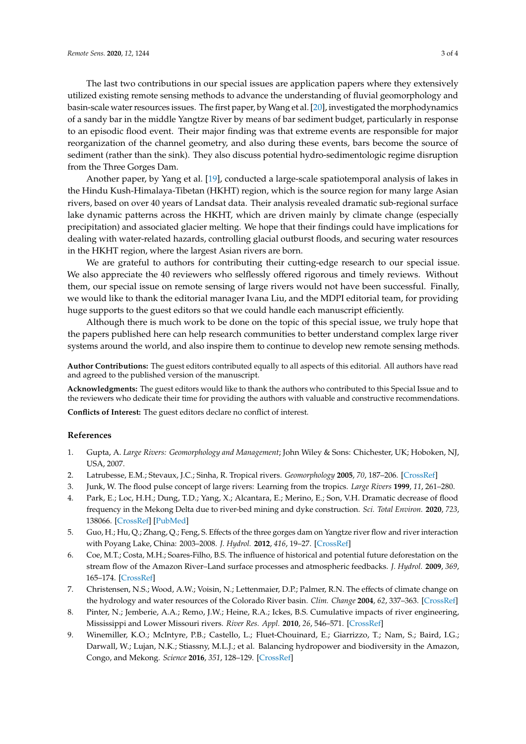The last two contributions in our special issues are application papers where they extensively utilized existing remote sensing methods to advance the understanding of fluvial geomorphology and basin-scale water resources issues. The first paper, by Wang et al. [\[20\]](#page-3-8), investigated the morphodynamics of a sandy bar in the middle Yangtze River by means of bar sediment budget, particularly in response to an episodic flood event. Their major finding was that extreme events are responsible for major reorganization of the channel geometry, and also during these events, bars become the source of sediment (rather than the sink). They also discuss potential hydro-sedimentologic regime disruption from the Three Gorges Dam.

Another paper, by Yang et al. [\[19\]](#page-3-7), conducted a large-scale spatiotemporal analysis of lakes in the Hindu Kush-Himalaya-Tibetan (HKHT) region, which is the source region for many large Asian rivers, based on over 40 years of Landsat data. Their analysis revealed dramatic sub-regional surface lake dynamic patterns across the HKHT, which are driven mainly by climate change (especially precipitation) and associated glacier melting. We hope that their findings could have implications for dealing with water-related hazards, controlling glacial outburst floods, and securing water resources in the HKHT region, where the largest Asian rivers are born.

We are grateful to authors for contributing their cutting-edge research to our special issue. We also appreciate the 40 reviewers who selflessly offered rigorous and timely reviews. Without them, our special issue on remote sensing of large rivers would not have been successful. Finally, we would like to thank the editorial manager Ivana Liu, and the MDPI editorial team, for providing huge supports to the guest editors so that we could handle each manuscript efficiently.

Although there is much work to be done on the topic of this special issue, we truly hope that the papers published here can help research communities to better understand complex large river systems around the world, and also inspire them to continue to develop new remote sensing methods.

**Author Contributions:** The guest editors contributed equally to all aspects of this editorial. All authors have read and agreed to the published version of the manuscript.

**Acknowledgments:** The guest editors would like to thank the authors who contributed to this Special Issue and to the reviewers who dedicate their time for providing the authors with valuable and constructive recommendations.

**Conflicts of Interest:** The guest editors declare no conflict of interest.

## **References**

- <span id="page-2-0"></span>1. Gupta, A. *Large Rivers: Geomorphology and Management*; John Wiley & Sons: Chichester, UK; Hoboken, NJ, USA, 2007.
- 2. Latrubesse, E.M.; Stevaux, J.C.; Sinha, R. Tropical rivers. *Geomorphology* **2005**, *70*, 187–206. [\[CrossRef\]](http://dx.doi.org/10.1016/j.geomorph.2005.02.005)
- <span id="page-2-1"></span>3. Junk, W. The flood pulse concept of large rivers: Learning from the tropics. *Large Rivers* **1999**, *11*, 261–280.
- <span id="page-2-2"></span>4. Park, E.; Loc, H.H.; Dung, T.D.; Yang, X.; Alcantara, E.; Merino, E.; Son, V.H. Dramatic decrease of flood frequency in the Mekong Delta due to river-bed mining and dyke construction. *Sci. Total Environ.* **2020**, *723*, 138066. [\[CrossRef\]](http://dx.doi.org/10.1016/j.scitotenv.2020.138066) [\[PubMed\]](http://www.ncbi.nlm.nih.gov/pubmed/32224398)
- 5. Guo, H.; Hu, Q.; Zhang, Q.; Feng, S. Effects of the three gorges dam on Yangtze river flow and river interaction with Poyang Lake, China: 2003–2008. *J. Hydrol.* **2012**, *416*, 19–27. [\[CrossRef\]](http://dx.doi.org/10.1016/j.jhydrol.2011.11.027)
- 6. Coe, M.T.; Costa, M.H.; Soares-Filho, B.S. The influence of historical and potential future deforestation on the stream flow of the Amazon River–Land surface processes and atmospheric feedbacks. *J. Hydrol.* **2009**, *369*, 165–174. [\[CrossRef\]](http://dx.doi.org/10.1016/j.jhydrol.2009.02.043)
- 7. Christensen, N.S.; Wood, A.W.; Voisin, N.; Lettenmaier, D.P.; Palmer, R.N. The effects of climate change on the hydrology and water resources of the Colorado River basin. *Clim. Change* **2004**, *62*, 337–363. [\[CrossRef\]](http://dx.doi.org/10.1023/B:CLIM.0000013684.13621.1f)
- 8. Pinter, N.; Jemberie, A.A.; Remo, J.W.; Heine, R.A.; Ickes, B.S. Cumulative impacts of river engineering, Mississippi and Lower Missouri rivers. *River Res. Appl.* **2010**, *26*, 546–571. [\[CrossRef\]](http://dx.doi.org/10.1002/rra.1269)
- <span id="page-2-3"></span>9. Winemiller, K.O.; McIntyre, P.B.; Castello, L.; Fluet-Chouinard, E.; Giarrizzo, T.; Nam, S.; Baird, I.G.; Darwall, W.; Lujan, N.K.; Stiassny, M.L.J.; et al. Balancing hydropower and biodiversity in the Amazon, Congo, and Mekong. *Science* **2016**, *351*, 128–129. [\[CrossRef\]](http://dx.doi.org/10.1126/science.aac7082)